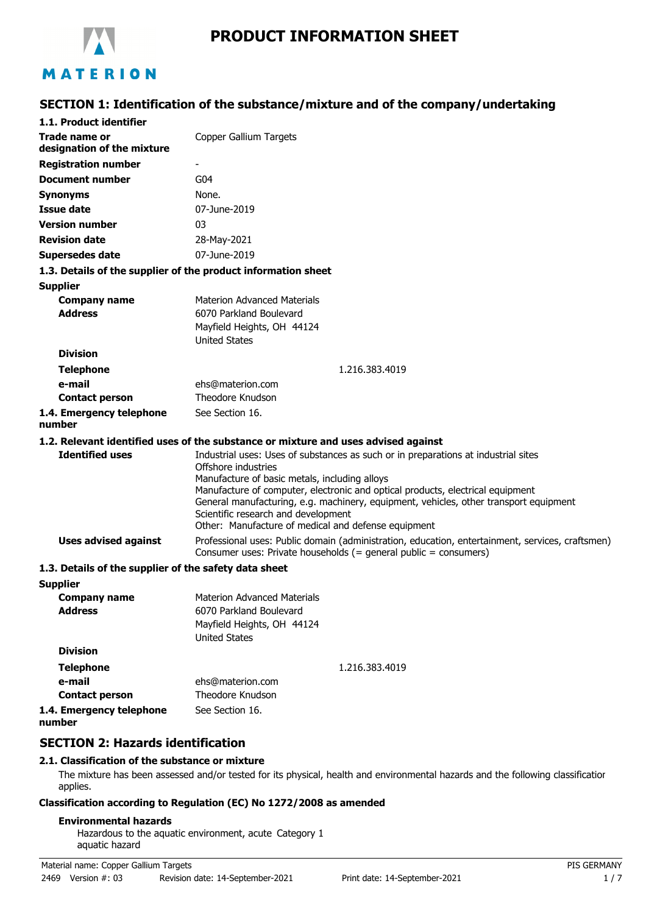

# **PRODUCT INFORMATION SHEET**

### **SECTION 1: Identification of the substance/mixture and of the company/undertaking**

| 1.1. Product identifier                               |                                                                                                                                                                      |
|-------------------------------------------------------|----------------------------------------------------------------------------------------------------------------------------------------------------------------------|
| <b>Trade name or</b><br>designation of the mixture    | Copper Gallium Targets                                                                                                                                               |
| <b>Registration number</b>                            |                                                                                                                                                                      |
| <b>Document number</b>                                | G <sub>04</sub>                                                                                                                                                      |
| <b>Synonyms</b>                                       | None.                                                                                                                                                                |
| <b>Issue date</b>                                     | 07-June-2019                                                                                                                                                         |
| <b>Version number</b>                                 | 03                                                                                                                                                                   |
| <b>Revision date</b>                                  | 28-May-2021                                                                                                                                                          |
| <b>Supersedes date</b>                                | 07-June-2019                                                                                                                                                         |
|                                                       | 1.3. Details of the supplier of the product information sheet                                                                                                        |
| <b>Supplier</b>                                       |                                                                                                                                                                      |
| <b>Company name</b>                                   | <b>Materion Advanced Materials</b>                                                                                                                                   |
| <b>Address</b>                                        | 6070 Parkland Boulevard                                                                                                                                              |
|                                                       | Mayfield Heights, OH 44124                                                                                                                                           |
| <b>Division</b>                                       | <b>United States</b>                                                                                                                                                 |
|                                                       | 1.216.383.4019                                                                                                                                                       |
| <b>Telephone</b><br>e-mail                            | ehs@materion.com                                                                                                                                                     |
| <b>Contact person</b>                                 | Theodore Knudson                                                                                                                                                     |
| 1.4. Emergency telephone                              | See Section 16.                                                                                                                                                      |
| number                                                |                                                                                                                                                                      |
|                                                       | 1.2. Relevant identified uses of the substance or mixture and uses advised against                                                                                   |
| <b>Identified uses</b>                                | Industrial uses: Uses of substances as such or in preparations at industrial sites                                                                                   |
|                                                       | Offshore industries                                                                                                                                                  |
|                                                       | Manufacture of basic metals, including alloys<br>Manufacture of computer, electronic and optical products, electrical equipment                                      |
|                                                       | General manufacturing, e.g. machinery, equipment, vehicles, other transport equipment                                                                                |
|                                                       | Scientific research and development                                                                                                                                  |
|                                                       | Other: Manufacture of medical and defense equipment                                                                                                                  |
| <b>Uses advised against</b>                           | Professional uses: Public domain (administration, education, entertainment, services, craftsmen)<br>Consumer uses: Private households (= general public = consumers) |
| 1.3. Details of the supplier of the safety data sheet |                                                                                                                                                                      |
| <b>Supplier</b>                                       |                                                                                                                                                                      |
| <b>Company name</b>                                   | <b>Materion Advanced Materials</b>                                                                                                                                   |
| <b>Address</b>                                        | 6070 Parkland Boulevard<br>Mayfield Heights, OH 44124                                                                                                                |
|                                                       | <b>United States</b>                                                                                                                                                 |
| <b>Division</b>                                       |                                                                                                                                                                      |
| <b>Telephone</b>                                      | 1.216.383.4019                                                                                                                                                       |
| e-mail                                                | ehs@materion.com                                                                                                                                                     |
| <b>Contact person</b>                                 | Theodore Knudson                                                                                                                                                     |
| 1.4. Emergency telephone                              | See Section 16.                                                                                                                                                      |

**1.4. Emergency telephone number**

### **SECTION 2: Hazards identification**

#### **2.1. Classification of the substance or mixture**

The mixture has been assessed and/or tested for its physical, health and environmental hazards and the following classification applies.

### **Classification according to Regulation (EC) No 1272/2008 as amended**

#### **Environmental hazards**

Hazardous to the aquatic environment, acute Category 1 aquatic hazard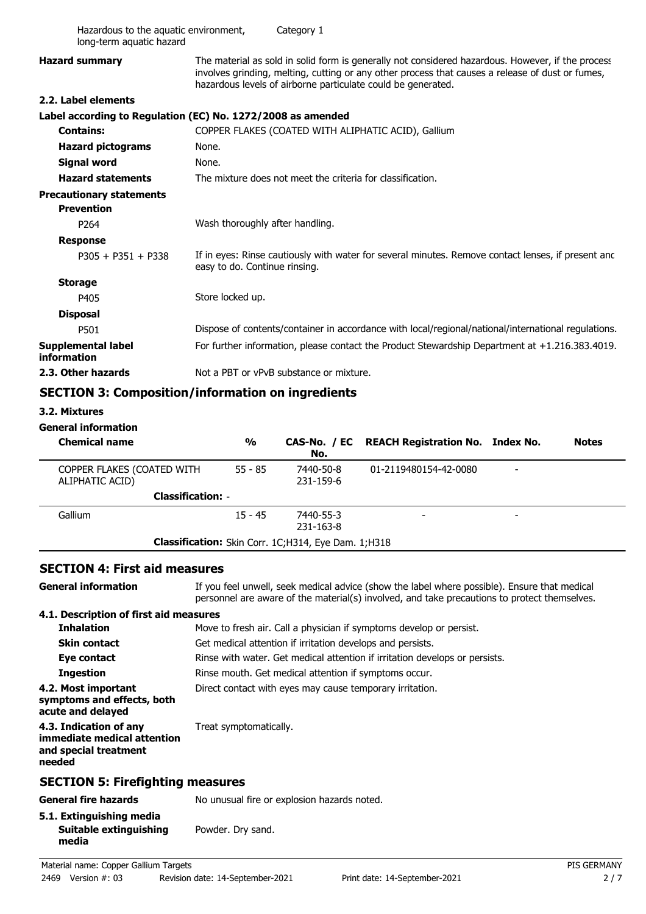| Hazardous to the aquatic environment,<br>long-term aquatic hazard | Category 1                                                                                                                                                                                                                                                            |
|-------------------------------------------------------------------|-----------------------------------------------------------------------------------------------------------------------------------------------------------------------------------------------------------------------------------------------------------------------|
| <b>Hazard summary</b>                                             | The material as sold in solid form is generally not considered hazardous. However, if the process<br>involves grinding, melting, cutting or any other process that causes a release of dust or fumes,<br>hazardous levels of airborne particulate could be generated. |
| 2.2. Label elements                                               |                                                                                                                                                                                                                                                                       |
|                                                                   | Label according to Regulation (EC) No. 1272/2008 as amended                                                                                                                                                                                                           |
| <b>Contains:</b>                                                  | COPPER FLAKES (COATED WITH ALIPHATIC ACID), Gallium                                                                                                                                                                                                                   |
| <b>Hazard pictograms</b>                                          | None.                                                                                                                                                                                                                                                                 |
| <b>Signal word</b>                                                | None.                                                                                                                                                                                                                                                                 |
| <b>Hazard statements</b>                                          | The mixture does not meet the criteria for classification.                                                                                                                                                                                                            |
| <b>Precautionary statements</b>                                   |                                                                                                                                                                                                                                                                       |
| <b>Prevention</b>                                                 |                                                                                                                                                                                                                                                                       |
| P <sub>264</sub>                                                  | Wash thoroughly after handling.                                                                                                                                                                                                                                       |
| <b>Response</b>                                                   |                                                                                                                                                                                                                                                                       |
| $P305 + P351 + P338$                                              | If in eyes: Rinse cautiously with water for several minutes. Remove contact lenses, if present and<br>easy to do. Continue rinsing.                                                                                                                                   |
| <b>Storage</b>                                                    |                                                                                                                                                                                                                                                                       |
| P405                                                              | Store locked up.                                                                                                                                                                                                                                                      |
| <b>Disposal</b>                                                   |                                                                                                                                                                                                                                                                       |
| P501                                                              | Dispose of contents/container in accordance with local/regional/national/international regulations.                                                                                                                                                                   |
| <b>Supplemental label</b><br>information                          | For further information, please contact the Product Stewardship Department at +1.216.383.4019.                                                                                                                                                                        |
| 2.3. Other hazards                                                | Not a PBT or vPvB substance or mixture.                                                                                                                                                                                                                               |
|                                                                   | <b>SECTION 3: Composition/information on ingredients</b>                                                                                                                                                                                                              |
| 3.2. Mixtures                                                     |                                                                                                                                                                                                                                                                       |
| <b>General information</b>                                        |                                                                                                                                                                                                                                                                       |
| <b>Chemical name</b>                                              | $\frac{0}{0}$<br>CAS-No. / EC<br><b>REACH Registration No. Index No.</b><br><b>Notes</b><br>No.                                                                                                                                                                       |
| COPPER FLAKES (COATED WITH<br>ALIPHATIC ACID)                     | $55 - 85$<br>7440-50-8<br>01-2119480154-42-0080<br>231-159-6                                                                                                                                                                                                          |
|                                                                   | <b>Classification: -</b>                                                                                                                                                                                                                                              |

|  |  |  |  |  | <b>SECTION 4: First aid measures</b> |
|--|--|--|--|--|--------------------------------------|
|--|--|--|--|--|--------------------------------------|

If you feel unwell, seek medical advice (show the label where possible). Ensure that medical personnel are aware of the material(s) involved, and take precautions to protect themselves. **General information 4.1. Description of first aid measures Inhalation** Move to fresh air. Call a physician if symptoms develop or persist. **Skin contact** Get medical attention if irritation develops and persists. **Eye contact** Rinse with water. Get medical attention if irritation develops or persists. **Ingestion** Rinse mouth. Get medical attention if symptoms occur. **4.2. Most important** Direct contact with eyes may cause temporary irritation. **symptoms and effects, both acute and delayed 4.3. Indication of any** Treat symptomatically. **immediate medical attention and special treatment needed SECTION 5: Firefighting measures General fire hazards** No unusual fire or explosion hazards noted. **5.1. Extinguishing media Suitable extinguishing** Powder. Dry sand.

**Classification:** Skin Corr. 1C;H314, Eye Dam. 1;H318

15 - 45

-Gallium -7440-55-3

231-163-8

**media**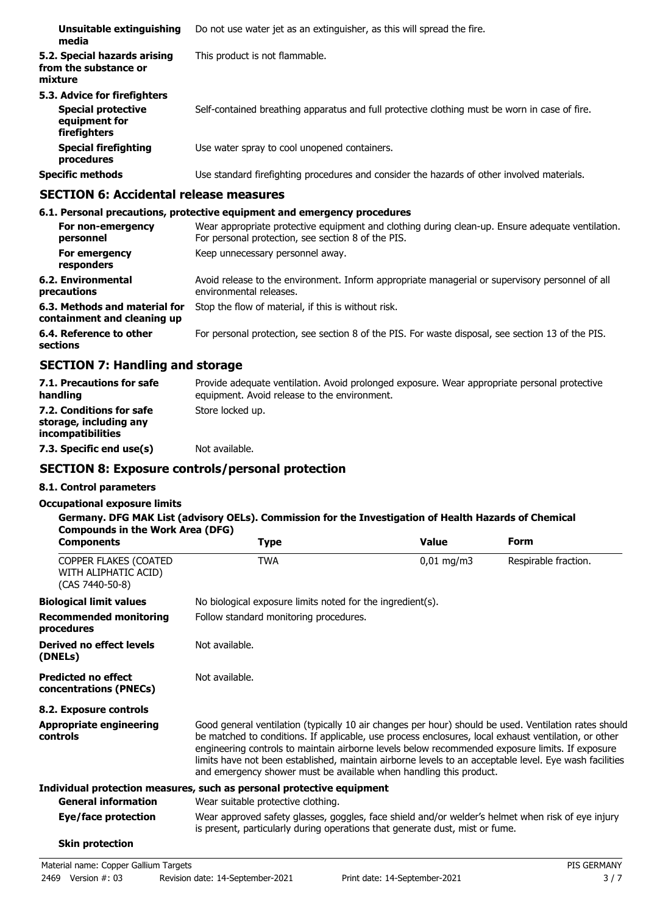| Unsuitable extinguishing<br>media                                                          | Do not use water jet as an extinguisher, as this will spread the fire.                        |
|--------------------------------------------------------------------------------------------|-----------------------------------------------------------------------------------------------|
| 5.2. Special hazards arising<br>from the substance or<br>mixture                           | This product is not flammable.                                                                |
| 5.3. Advice for firefighters<br><b>Special protective</b><br>equipment for<br>firefighters | Self-contained breathing apparatus and full protective clothing must be worn in case of fire. |
| <b>Special firefighting</b><br>procedures                                                  | Use water spray to cool unopened containers.                                                  |
| <b>Specific methods</b>                                                                    | Use standard firefighting procedures and consider the hazards of other involved materials.    |

### **SECTION 6: Accidental release measures**

#### **6.1. Personal precautions, protective equipment and emergency procedures** Wear appropriate protective equipment and clothing during clean-up. Ensure adequate ventilation. For personal protection, see section 8 of the PIS. **For non-emergency personnel For emergency** Keep unnecessary personnel away. **responders** Avoid release to the environment. Inform appropriate managerial or supervisory personnel of all environmental releases. **6.2. Environmental precautions 6.3. Methods and material for** Stop the flow of material, if this is without risk. **containment and cleaning up 6.4. Reference to other** For personal protection, see section 8 of the PIS. For waste disposal, see section 13 of the PIS. **sections**

### **SECTION 7: Handling and storage**

| 7.1. Precautions for safe<br>handling                                          | Provide adequate ventilation. Avoid prolonged exposure. Wear appropriate personal protective<br>equipment. Avoid release to the environment. |
|--------------------------------------------------------------------------------|----------------------------------------------------------------------------------------------------------------------------------------------|
| 7.2. Conditions for safe<br>storage, including any<br><i>incompatibilities</i> | Store locked up.                                                                                                                             |
| 7.3. Specific end use(s)                                                       | Not available.                                                                                                                               |

### **SECTION 8: Exposure controls/personal protection**

#### **8.1. Control parameters**

#### **Occupational exposure limits**

#### **Germany. DFG MAK List (advisory OELs). Commission for the Investigation of Health Hazards of Chemical Compounds in the Work Area (DFG)**

| <b>Components</b>                                                | <b>Type</b>                                                                                                                                                                                                                                                                                                                                                                                                                                                                                      | <b>Value</b> | Form                 |
|------------------------------------------------------------------|--------------------------------------------------------------------------------------------------------------------------------------------------------------------------------------------------------------------------------------------------------------------------------------------------------------------------------------------------------------------------------------------------------------------------------------------------------------------------------------------------|--------------|----------------------|
| COPPER FLAKES (COATED<br>WITH ALIPHATIC ACID)<br>(CAS 7440-50-8) | <b>TWA</b>                                                                                                                                                                                                                                                                                                                                                                                                                                                                                       | $0,01$ mg/m3 | Respirable fraction. |
| <b>Biological limit values</b>                                   | No biological exposure limits noted for the ingredient(s).                                                                                                                                                                                                                                                                                                                                                                                                                                       |              |                      |
| <b>Recommended monitoring</b><br>procedures                      | Follow standard monitoring procedures.                                                                                                                                                                                                                                                                                                                                                                                                                                                           |              |                      |
| Derived no effect levels<br>(DNELs)                              | Not available.                                                                                                                                                                                                                                                                                                                                                                                                                                                                                   |              |                      |
| <b>Predicted no effect</b><br>concentrations (PNECs)             | Not available.                                                                                                                                                                                                                                                                                                                                                                                                                                                                                   |              |                      |
| 8.2. Exposure controls                                           |                                                                                                                                                                                                                                                                                                                                                                                                                                                                                                  |              |                      |
| <b>Appropriate engineering</b><br><b>controls</b>                | Good general ventilation (typically 10 air changes per hour) should be used. Ventilation rates should<br>be matched to conditions. If applicable, use process enclosures, local exhaust ventilation, or other<br>engineering controls to maintain airborne levels below recommended exposure limits. If exposure<br>limits have not been established, maintain airborne levels to an acceptable level. Eye wash facilities<br>and emergency shower must be available when handling this product. |              |                      |
|                                                                  | Individual protection measures, such as personal protective equipment                                                                                                                                                                                                                                                                                                                                                                                                                            |              |                      |
| <b>General information</b>                                       | Wear suitable protective clothing.                                                                                                                                                                                                                                                                                                                                                                                                                                                               |              |                      |
| Eye/face protection                                              | Wear approved safety glasses, goggles, face shield and/or welder's helmet when risk of eye injury<br>is present, particularly during operations that generate dust, mist or fume.                                                                                                                                                                                                                                                                                                                |              |                      |
| <b>Skin protection</b>                                           |                                                                                                                                                                                                                                                                                                                                                                                                                                                                                                  |              |                      |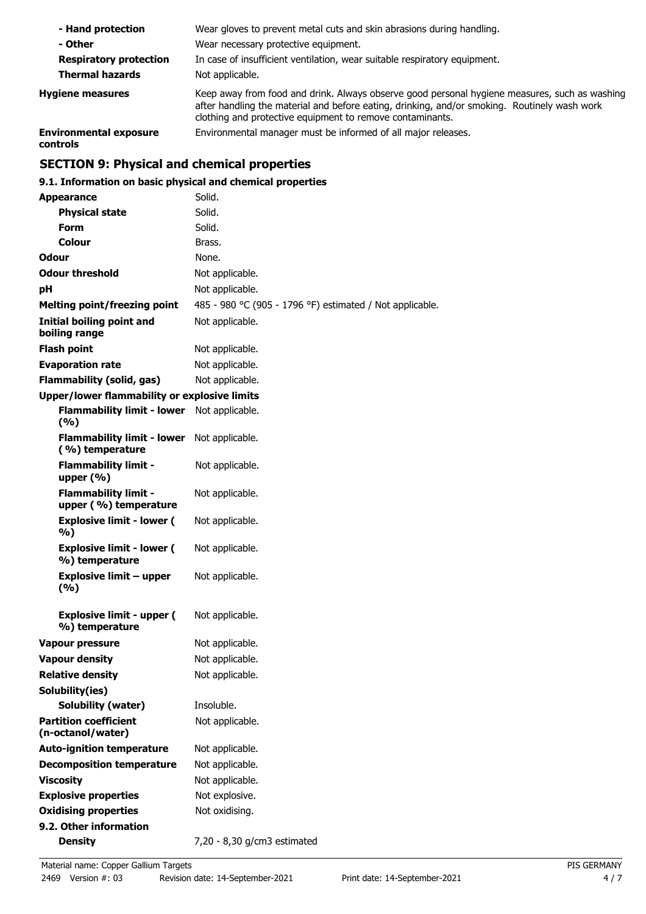| - Hand protection                         | Wear gloves to prevent metal cuts and skin abrasions during handling.                                                                                                                                                                                      |
|-------------------------------------------|------------------------------------------------------------------------------------------------------------------------------------------------------------------------------------------------------------------------------------------------------------|
| - Other                                   | Wear necessary protective equipment.                                                                                                                                                                                                                       |
| <b>Respiratory protection</b>             | In case of insufficient ventilation, wear suitable respiratory equipment.                                                                                                                                                                                  |
| <b>Thermal hazards</b>                    | Not applicable.                                                                                                                                                                                                                                            |
| <b>Hygiene measures</b>                   | Keep away from food and drink. Always observe good personal hygiene measures, such as washing<br>after handling the material and before eating, drinking, and/or smoking. Routinely wash work<br>clothing and protective equipment to remove contaminants. |
| <b>Environmental exposure</b><br>controls | Environmental manager must be informed of all major releases.                                                                                                                                                                                              |

# **SECTION 9: Physical and chemical properties**

### **9.1. Information on basic physical and chemical properties**

| <b>Appearance</b>                                    | Solid.                                                   |
|------------------------------------------------------|----------------------------------------------------------|
| <b>Physical state</b>                                | Solid.                                                   |
| <b>Form</b>                                          | Solid.                                                   |
| Colour                                               | Brass.                                                   |
| <b>Odour</b>                                         | None.                                                    |
| <b>Odour threshold</b>                               | Not applicable.                                          |
| рH                                                   | Not applicable.                                          |
| <b>Melting point/freezing point</b>                  | 485 - 980 °C (905 - 1796 °F) estimated / Not applicable. |
| <b>Initial boiling point and</b><br>boiling range    | Not applicable.                                          |
| <b>Flash point</b>                                   | Not applicable.                                          |
| <b>Evaporation rate</b>                              | Not applicable.                                          |
| <b>Flammability (solid, gas)</b>                     | Not applicable.                                          |
| <b>Upper/lower flammability or explosive limits</b>  |                                                          |
| <b>Flammability limit - lower</b><br>(%)             | Not applicable.                                          |
| <b>Flammability limit - lower</b><br>(%) temperature | Not applicable.                                          |
| <b>Flammability limit -</b><br>upper $(\% )$         | Not applicable.                                          |
| <b>Flammability limit -</b><br>upper (%) temperature | Not applicable.                                          |
| <b>Explosive limit - lower (</b><br>%)               | Not applicable.                                          |
| <b>Explosive limit - lower (</b><br>%) temperature   | Not applicable.                                          |
| <b>Explosive limit - upper</b><br>(%)                | Not applicable.                                          |
| <b>Explosive limit - upper (</b><br>%) temperature   | Not applicable.                                          |
| <b>Vapour pressure</b>                               | Not applicable.                                          |
| <b>Vapour density</b>                                | Not applicable.                                          |
| <b>Relative density</b>                              | Not applicable.                                          |
| Solubility(ies)                                      |                                                          |
| <b>Solubility (water)</b>                            | Insoluble.                                               |
| <b>Partition coefficient</b><br>(n-octanol/water)    | Not applicable.                                          |
| <b>Auto-ignition temperature</b>                     | Not applicable.                                          |
| <b>Decomposition temperature</b>                     | Not applicable.                                          |
| <b>Viscosity</b>                                     | Not applicable.                                          |
| <b>Explosive properties</b>                          | Not explosive.                                           |
| <b>Oxidising properties</b>                          | Not oxidising.                                           |
| 9.2. Other information                               |                                                          |
| <b>Density</b>                                       | 7,20 - 8,30 g/cm3 estimated                              |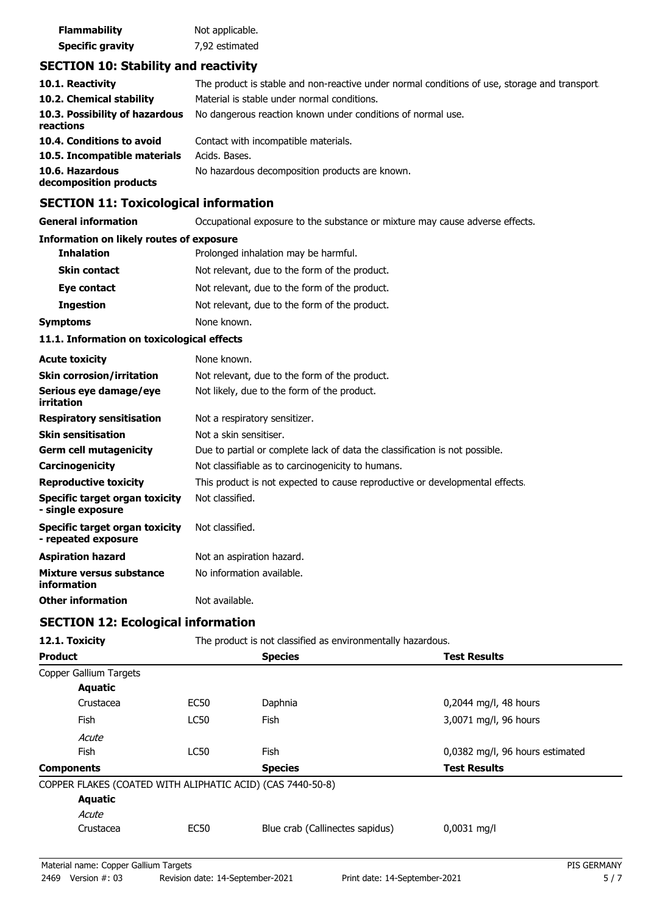| <b>Flammability</b>     | Not applicable. |
|-------------------------|-----------------|
| <b>Specific gravity</b> | 7,92 estimated  |

### **SECTION 10: Stability and reactivity**

| 10.1. Reactivity                            | The product is stable and non-reactive under normal conditions of use, storage and transport. |
|---------------------------------------------|-----------------------------------------------------------------------------------------------|
| 10.2. Chemical stability                    | Material is stable under normal conditions.                                                   |
| 10.3. Possibility of hazardous<br>reactions | No dangerous reaction known under conditions of normal use.                                   |
| 10.4. Conditions to avoid                   | Contact with incompatible materials.                                                          |
| 10.5. Incompatible materials                | Acids. Bases.                                                                                 |
| 10.6. Hazardous<br>decomposition products   | No hazardous decomposition products are known.                                                |

## **SECTION 11: Toxicological information**

**General information CCCUPATION** Occupational exposure to the substance or mixture may cause adverse effects.

#### **Information on likely routes of exposure**

| Prolonged inhalation may be harmful.<br><b>Inhalation</b> |                                               |
|-----------------------------------------------------------|-----------------------------------------------|
| <b>Skin contact</b>                                       | Not relevant, due to the form of the product. |
| Eye contact                                               | Not relevant, due to the form of the product. |
| <b>Ingestion</b>                                          | Not relevant, due to the form of the product. |
| Symptoms                                                  | None known.                                   |

#### **11.1. Information on toxicological effects**

| <b>Acute toxicity</b>                                 | None known.                                                                  |
|-------------------------------------------------------|------------------------------------------------------------------------------|
| <b>Skin corrosion/irritation</b>                      | Not relevant, due to the form of the product.                                |
| Serious eye damage/eye<br>irritation                  | Not likely, due to the form of the product.                                  |
| <b>Respiratory sensitisation</b>                      | Not a respiratory sensitizer.                                                |
| <b>Skin sensitisation</b>                             | Not a skin sensitiser.                                                       |
| <b>Germ cell mutagenicity</b>                         | Due to partial or complete lack of data the classification is not possible.  |
| <b>Carcinogenicity</b>                                | Not classifiable as to carcinogenicity to humans.                            |
| <b>Reproductive toxicity</b>                          | This product is not expected to cause reproductive or developmental effects. |
| Specific target organ toxicity<br>- single exposure   | Not classified.                                                              |
| Specific target organ toxicity<br>- repeated exposure | Not classified.                                                              |
| <b>Aspiration hazard</b>                              | Not an aspiration hazard.                                                    |
| Mixture versus substance<br>information               | No information available.                                                    |
| <b>Other information</b>                              | Not available.                                                               |

### **SECTION 12: Ecological information**

| 12.1. Toxicity                                             |             | The product is not classified as environmentally hazardous. |                                 |  |
|------------------------------------------------------------|-------------|-------------------------------------------------------------|---------------------------------|--|
| <b>Product</b>                                             |             | <b>Species</b>                                              | <b>Test Results</b>             |  |
| Copper Gallium Targets                                     |             |                                                             |                                 |  |
| <b>Aquatic</b>                                             |             |                                                             |                                 |  |
| Crustacea                                                  | EC50        | Daphnia                                                     | $0,2044$ mg/l, 48 hours         |  |
| <b>Fish</b>                                                | <b>LC50</b> | <b>Fish</b>                                                 | 3,0071 mg/l, 96 hours           |  |
| Acute                                                      |             |                                                             |                                 |  |
| <b>Fish</b>                                                | LC50        | <b>Fish</b>                                                 | 0,0382 mg/l, 96 hours estimated |  |
| <b>Components</b>                                          |             | <b>Species</b>                                              | <b>Test Results</b>             |  |
| COPPER FLAKES (COATED WITH ALIPHATIC ACID) (CAS 7440-50-8) |             |                                                             |                                 |  |
| <b>Aquatic</b>                                             |             |                                                             |                                 |  |
| Acute                                                      |             |                                                             |                                 |  |
| Crustacea                                                  | <b>EC50</b> | Blue crab (Callinectes sapidus)                             | $0,0031$ mg/l                   |  |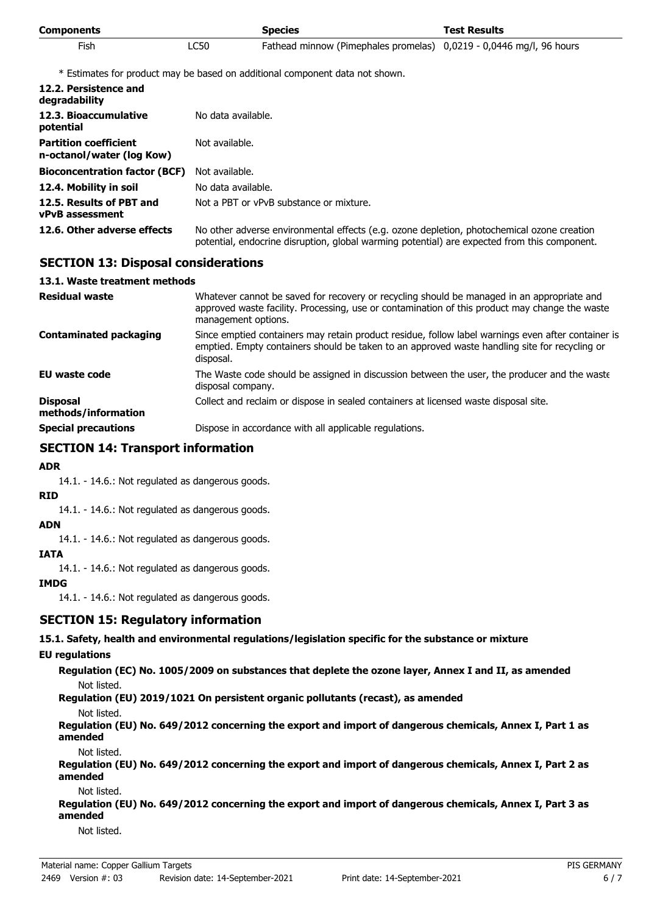| <b>Components</b> |      | <b>Species</b>                                                      | <b>Test Results</b> |
|-------------------|------|---------------------------------------------------------------------|---------------------|
| Fish              | LC50 | Fathead minnow (Pimephales promelas) 0,0219 - 0,0446 mg/l, 96 hours |                     |

\* Estimates for product may be based on additional component data not shown.

| 12.2. Persistence and<br>degradability                    |                                                                                                                                                                                            |  |
|-----------------------------------------------------------|--------------------------------------------------------------------------------------------------------------------------------------------------------------------------------------------|--|
| 12.3. Bioaccumulative<br>potential                        | No data available.                                                                                                                                                                         |  |
| <b>Partition coefficient</b><br>n-octanol/water (log Kow) | Not available.                                                                                                                                                                             |  |
| <b>Bioconcentration factor (BCF)</b>                      | Not available.                                                                                                                                                                             |  |
| 12.4. Mobility in soil                                    | No data available.                                                                                                                                                                         |  |
| 12.5. Results of PBT and<br><b>vPvB</b> assessment        | Not a PBT or vPvB substance or mixture.                                                                                                                                                    |  |
| 12.6. Other adverse effects                               | No other adverse environmental effects (e.g. ozone depletion, photochemical ozone creation<br>potential, endocrine disruption, global warming potential) are expected from this component. |  |

### **SECTION 13: Disposal considerations**

#### **13.1. Waste treatment methods**

| <b>Residual waste</b>                  | Whatever cannot be saved for recovery or recycling should be managed in an appropriate and<br>approved waste facility. Processing, use or contamination of this product may change the waste<br>management options. |  |
|----------------------------------------|---------------------------------------------------------------------------------------------------------------------------------------------------------------------------------------------------------------------|--|
| <b>Contaminated packaging</b>          | Since emptied containers may retain product residue, follow label warnings even after container is<br>emptied. Empty containers should be taken to an approved waste handling site for recycling or<br>disposal.    |  |
| EU waste code                          | The Waste code should be assigned in discussion between the user, the producer and the waste<br>disposal company.                                                                                                   |  |
| <b>Disposal</b><br>methods/information | Collect and reclaim or dispose in sealed containers at licensed waste disposal site.                                                                                                                                |  |
| <b>Special precautions</b>             | Dispose in accordance with all applicable regulations.                                                                                                                                                              |  |

### **SECTION 14: Transport information**

#### **ADR**

14.1. - 14.6.: Not regulated as dangerous goods.

#### **RID**

14.1. - 14.6.: Not regulated as dangerous goods.

#### **ADN**

14.1. - 14.6.: Not regulated as dangerous goods.

#### **IATA**

14.1. - 14.6.: Not regulated as dangerous goods.

#### **IMDG**

14.1. - 14.6.: Not regulated as dangerous goods.

### **SECTION 15: Regulatory information**

#### **15.1. Safety, health and environmental regulations/legislation specific for the substance or mixture**

#### **EU regulations**

**Regulation (EC) No. 1005/2009 on substances that deplete the ozone layer, Annex I and II, as amended** Not listed.

**Regulation (EU) 2019/1021 On persistent organic pollutants (recast), as amended**

Not listed.

**Regulation (EU) No. 649/2012 concerning the export and import of dangerous chemicals, Annex I, Part 1 as amended**

Not listed.

**Regulation (EU) No. 649/2012 concerning the export and import of dangerous chemicals, Annex I, Part 2 as amended**

Not listed.

**Regulation (EU) No. 649/2012 concerning the export and import of dangerous chemicals, Annex I, Part 3 as amended**

Not listed.